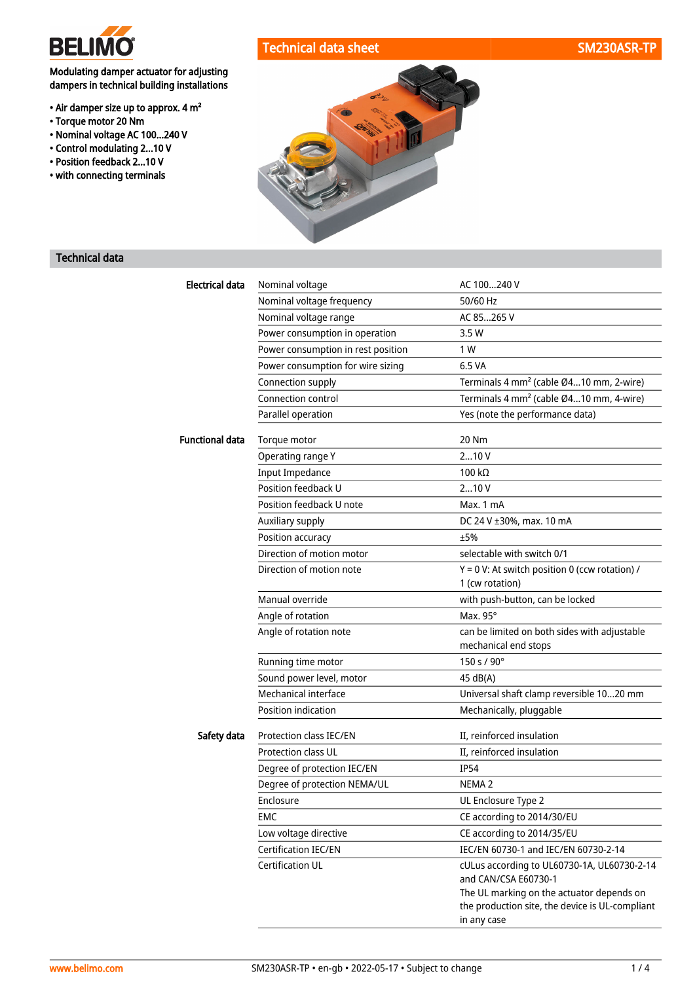

# Technical data sheet SM230ASR-TP

## Modulating damper actuator for adjusting dampers in technical building installations

- Air damper size up to approx. 4 m²
- Torque motor 20 Nm
- Nominal voltage AC 100...240 V
- Control modulating 2...10 V
- Position feedback 2...10 V
- with connecting terminals



# Technical data

| <b>Electrical data</b> | Nominal voltage                    | AC 100240 V                                                                                                 |
|------------------------|------------------------------------|-------------------------------------------------------------------------------------------------------------|
|                        | Nominal voltage frequency          | 50/60 Hz                                                                                                    |
|                        | Nominal voltage range              | AC 85265 V                                                                                                  |
|                        | Power consumption in operation     | 3.5W                                                                                                        |
|                        | Power consumption in rest position | 1 W                                                                                                         |
|                        | Power consumption for wire sizing  | 6.5 VA                                                                                                      |
|                        | Connection supply                  | Terminals 4 mm <sup>2</sup> (cable Ø410 mm, 2-wire)                                                         |
|                        | Connection control                 | Terminals 4 mm <sup>2</sup> (cable Ø410 mm, 4-wire)                                                         |
|                        | Parallel operation                 | Yes (note the performance data)                                                                             |
| <b>Functional data</b> | Torque motor                       | 20 Nm                                                                                                       |
|                        | Operating range Y                  | 210V                                                                                                        |
|                        | <b>Input Impedance</b>             | 100 $k\Omega$                                                                                               |
|                        | Position feedback U                | 210V                                                                                                        |
|                        | Position feedback U note           | Max. 1 mA                                                                                                   |
|                        | Auxiliary supply                   | DC 24 V ±30%, max. 10 mA                                                                                    |
|                        | Position accuracy                  | ±5%                                                                                                         |
|                        | Direction of motion motor          | selectable with switch 0/1                                                                                  |
|                        | Direction of motion note           | $Y = 0$ V: At switch position 0 (ccw rotation) /<br>1 (cw rotation)                                         |
|                        | Manual override                    | with push-button, can be locked                                                                             |
|                        | Angle of rotation                  | Max. 95°                                                                                                    |
|                        | Angle of rotation note             | can be limited on both sides with adjustable<br>mechanical end stops                                        |
|                        | Running time motor                 | 150 s / 90°                                                                                                 |
|                        | Sound power level, motor           | 45 dB(A)                                                                                                    |
|                        | Mechanical interface               | Universal shaft clamp reversible 1020 mm                                                                    |
|                        | Position indication                | Mechanically, pluggable                                                                                     |
| Safety data            | Protection class IEC/EN            | II, reinforced insulation                                                                                   |
|                        | <b>Protection class UL</b>         | II, reinforced insulation                                                                                   |
|                        | Degree of protection IEC/EN        | <b>IP54</b>                                                                                                 |
|                        | Degree of protection NEMA/UL       | NEMA <sub>2</sub>                                                                                           |
|                        | Enclosure                          | UL Enclosure Type 2                                                                                         |
|                        | <b>EMC</b>                         | CE according to 2014/30/EU                                                                                  |
|                        | Low voltage directive              | CE according to 2014/35/EU                                                                                  |
|                        | Certification IEC/EN               | IEC/EN 60730-1 and IEC/EN 60730-2-14                                                                        |
|                        | Certification UL                   | cULus according to UL60730-1A, UL60730-2-14<br>and CAN/CSA E60730-1                                         |
|                        |                                    | The UL marking on the actuator depends on<br>the production site, the device is UL-compliant<br>in any case |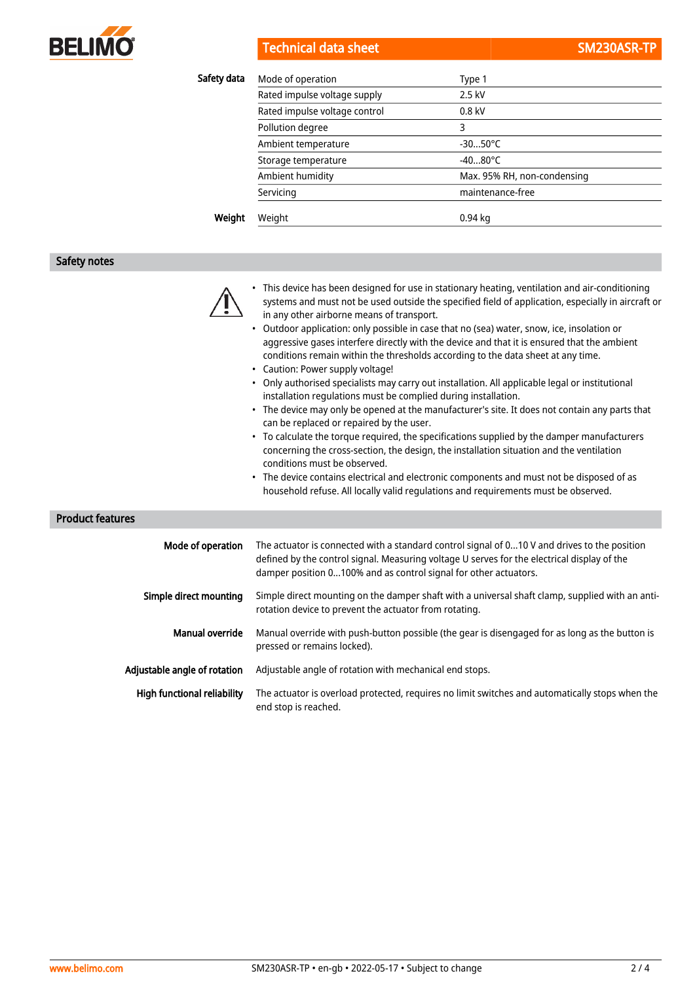

**Technical data sheet** 

|  |  | SM230ASR-TP |
|--|--|-------------|
|  |  |             |
|  |  |             |

| Safety data | Mode of operation             | Type 1                      |
|-------------|-------------------------------|-----------------------------|
|             | Rated impulse voltage supply  | 2.5 kV                      |
|             | Rated impulse voltage control | $0.8$ kV                    |
|             | Pollution degree              | 3                           |
|             | Ambient temperature           | $-3050^{\circ}$ C           |
|             | Storage temperature           | $-4080^{\circ}$ C           |
|             | Ambient humidity              | Max. 95% RH, non-condensing |
|             | Servicing                     | maintenance-free            |
| Weight      | Weight                        | $0.94$ kg                   |

#### Safety notes



- This device has been designed for use in stationary heating, ventilation and air-conditioning systems and must not be used outside the specified field of application, especially in aircraft or in any other airborne means of transport.
- Outdoor application: only possible in case that no (sea) water, snow, ice, insolation or aggressive gases interfere directly with the device and that it is ensured that the ambient conditions remain within the thresholds according to the data sheet at any time.
- Caution: Power supply voltage!
- Only authorised specialists may carry out installation. All applicable legal or institutional installation regulations must be complied during installation.
- The device may only be opened at the manufacturer's site. It does not contain any parts that can be replaced or repaired by the user.
- To calculate the torque required, the specifications supplied by the damper manufacturers concerning the cross-section, the design, the installation situation and the ventilation conditions must be observed.
- The device contains electrical and electronic components and must not be disposed of as household refuse. All locally valid regulations and requirements must be observed.

## Product features

| Mode of operation            | The actuator is connected with a standard control signal of 010 V and drives to the position<br>defined by the control signal. Measuring voltage U serves for the electrical display of the<br>damper position 0100% and as control signal for other actuators. |
|------------------------------|-----------------------------------------------------------------------------------------------------------------------------------------------------------------------------------------------------------------------------------------------------------------|
| Simple direct mounting       | Simple direct mounting on the damper shaft with a universal shaft clamp, supplied with an anti-<br>rotation device to prevent the actuator from rotating.                                                                                                       |
| <b>Manual override</b>       | Manual override with push-button possible (the gear is disengaged for as long as the button is<br>pressed or remains locked).                                                                                                                                   |
| Adjustable angle of rotation | Adjustable angle of rotation with mechanical end stops.                                                                                                                                                                                                         |
| High functional reliability  | The actuator is overload protected, requires no limit switches and automatically stops when the<br>end stop is reached.                                                                                                                                         |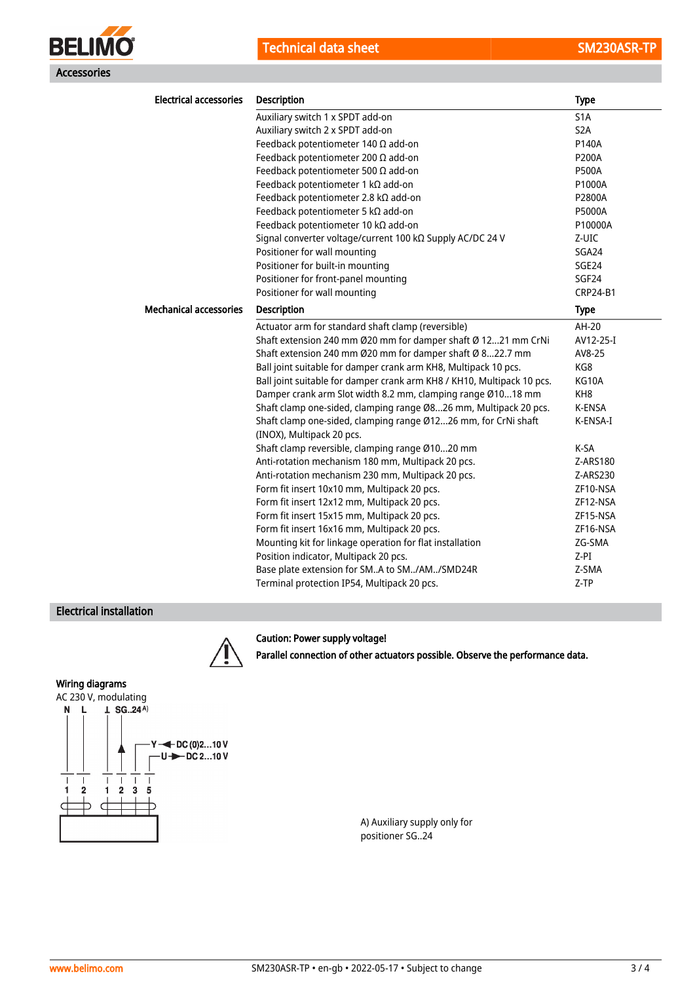



| <b>Electrical accessories</b> | <b>Description</b>                                                                          | <b>Type</b>      |
|-------------------------------|---------------------------------------------------------------------------------------------|------------------|
|                               | Auxiliary switch 1 x SPDT add-on                                                            | S <sub>1</sub> A |
|                               | Auxiliary switch 2 x SPDT add-on                                                            | S <sub>2</sub> A |
|                               | Feedback potentiometer 140 $\Omega$ add-on                                                  | P140A            |
|                               | Feedback potentiometer 200 $\Omega$ add-on                                                  | P200A            |
|                               | Feedback potentiometer 500 $\Omega$ add-on                                                  | <b>P500A</b>     |
|                               | Feedback potentiometer 1 $k\Omega$ add-on                                                   | P1000A           |
|                               | Feedback potentiometer 2.8 kΩ add-on                                                        | P2800A           |
|                               | Feedback potentiometer 5 kΩ add-on                                                          | P5000A           |
|                               | Feedback potentiometer 10 kΩ add-on                                                         | P10000A          |
|                               | Signal converter voltage/current 100 kΩ Supply AC/DC 24 V                                   | Z-UIC            |
|                               | Positioner for wall mounting                                                                | SGA24            |
|                               | Positioner for built-in mounting                                                            | SGE24            |
|                               | Positioner for front-panel mounting                                                         | SGF24            |
|                               | Positioner for wall mounting                                                                | <b>CRP24-B1</b>  |
| <b>Mechanical accessories</b> | Description                                                                                 | <b>Type</b>      |
|                               | Actuator arm for standard shaft clamp (reversible)                                          | AH-20            |
|                               | Shaft extension 240 mm Ø20 mm for damper shaft Ø 1221 mm CrNi                               | AV12-25-I        |
|                               | Shaft extension 240 mm Ø20 mm for damper shaft Ø 822.7 mm                                   | AV8-25           |
|                               | Ball joint suitable for damper crank arm KH8, Multipack 10 pcs.                             | KG8              |
|                               | Ball joint suitable for damper crank arm KH8 / KH10, Multipack 10 pcs.                      | KG10A            |
|                               | Damper crank arm Slot width 8.2 mm, clamping range Ø1018 mm                                 | KH <sub>8</sub>  |
|                               | Shaft clamp one-sided, clamping range Ø826 mm, Multipack 20 pcs.                            | K-ENSA           |
|                               | Shaft clamp one-sided, clamping range Ø1226 mm, for CrNi shaft<br>(INOX), Multipack 20 pcs. | K-ENSA-I         |
|                               | Shaft clamp reversible, clamping range Ø1020 mm                                             | K-SA             |
|                               | Anti-rotation mechanism 180 mm, Multipack 20 pcs.                                           | Z-ARS180         |
|                               | Anti-rotation mechanism 230 mm, Multipack 20 pcs.                                           | Z-ARS230         |
|                               | Form fit insert 10x10 mm, Multipack 20 pcs.                                                 | ZF10-NSA         |
|                               | Form fit insert 12x12 mm, Multipack 20 pcs.                                                 | ZF12-NSA         |
|                               | Form fit insert 15x15 mm, Multipack 20 pcs.                                                 | ZF15-NSA         |
|                               | Form fit insert 16x16 mm, Multipack 20 pcs.                                                 | ZF16-NSA         |
|                               | Mounting kit for linkage operation for flat installation                                    | ZG-SMA           |
|                               | Position indicator, Multipack 20 pcs.                                                       | $Z-PI$           |
|                               | Base plate extension for SMA to SM/AM/SMD24R                                                | Z-SMA            |
|                               | Terminal protection IP54, Multipack 20 pcs.                                                 | Z-TP             |

## Electrical installation

## Caution: Power supply voltage!



Parallel connection of other actuators possible. Observe the performance data.

#### Wiring diagrams



A) Auxiliary supply only for positioner SG..24